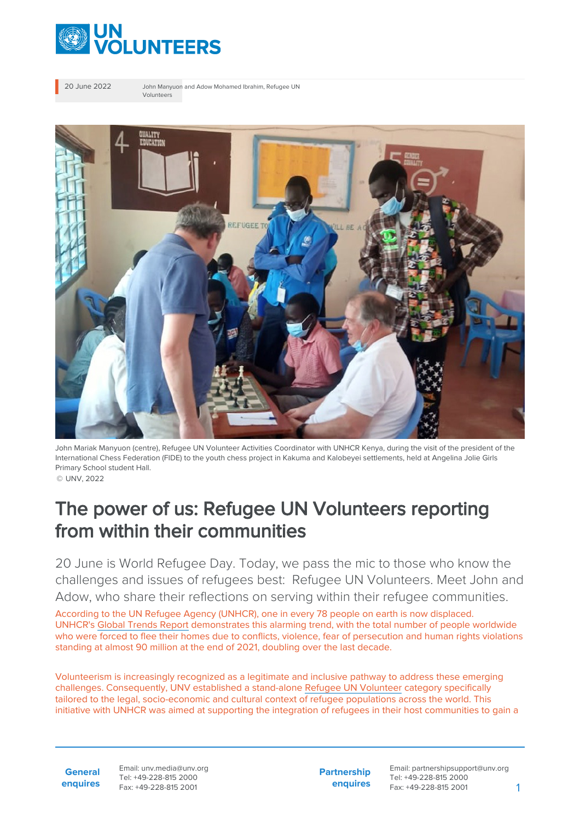

20 June 2022 John Manyuon and Adow Mohamed Ibrahim, Refugee UN Volunteers



John Mariak Manyuon (centre), Refugee UN Volunteer Activities Coordinator with UNHCR Kenya, during the visit of the president of the International Chess Federation (FIDE) to the youth chess project in Kakuma and Kalobeyei settlements, held at Angelina Jolie Girls Primary School student Hall.

## © UNV, 2022

## The power of us: Refugee UN Volunteers reporting from within their communities

20 June is World Refugee Day. Today, we pass the mic to those who know the challenges and issues of refugees best: Refugee UN Volunteers. Meet John and Adow, who share their reflections on serving within their refugee communities.

According to the UN Refugee Agency (UNHCR), one in every 78 people on earth is now displaced. UNHCR's [Global Trends Report](https://www.unhcr.org/62a9d1494/global-trends-report-2021) demonstrates this alarming trend, with the total number of people worldwide who were forced to flee their homes due to conflicts, violence, fear of persecution and human rights violations standing at almost 90 million at the end of 2021, doubling over the last decade.

Volunteerism is increasingly recognized as a legitimate and inclusive pathway to address these emerging challenges. Consequently, UNV established a stand-alone [Refugee UN Volunteer](https://toolkit.unv.org/sites/default/files/2020-10/Conditions%20of%20Service%20for%20Refugee%20UN%20Volunteer.pdf) category specifically tailored to the legal, socio-economic and cultural context of refugee populations across the world. This initiative with UNHCR was aimed at supporting the integration of refugees in their host communities to gain a

**General enquires** Email: unv.media@unv.org Tel: +49-228-815 2000 Fax: +49-228-815 2001

**Partnership enquires** Email: partnershipsupport@unv.org Tel: +49-228-815 2000 Fax: +49-228-815 2001 1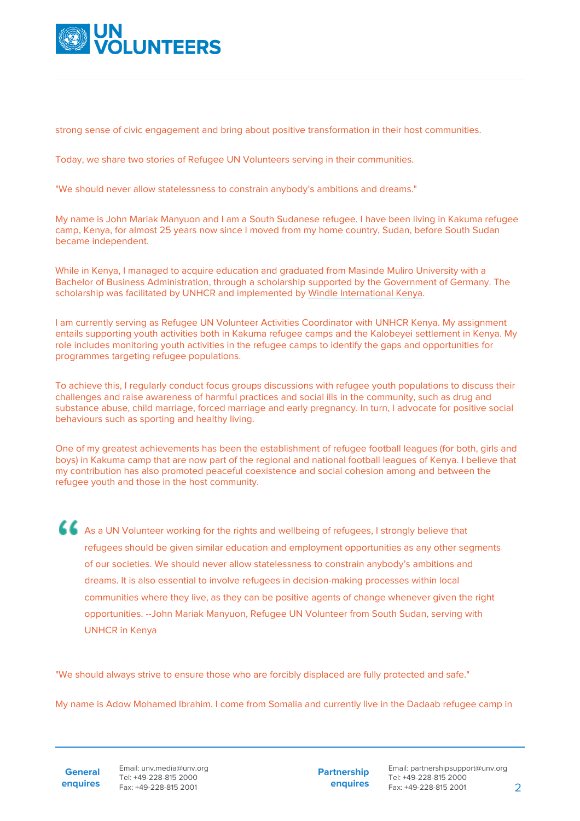

strong sense of civic engagement and bring about positive transformation in their host communities.

Today, we share two stories of Refugee UN Volunteers serving in their communities.

"We should never allow statelessness to constrain anybody's ambitions and dreams."

My name is John Mariak Manyuon and I am a South Sudanese refugee. I have been living in Kakuma refugee camp, Kenya, for almost 25 years now since I moved from my home country, Sudan, before South Sudan became independent.

While in Kenya, I managed to acquire education and graduated from Masinde Muliro University with a Bachelor of Business Administration, through a scholarship supported by the Government of Germany. The scholarship was facilitated by UNHCR and implemented by [Windle International Kenya](https://windle.org/).

I am currently serving as Refugee UN Volunteer Activities Coordinator with UNHCR Kenya. My assignment entails supporting youth activities both in Kakuma refugee camps and the Kalobeyei settlement in Kenya. My role includes monitoring youth activities in the refugee camps to identify the gaps and opportunities for programmes targeting refugee populations.

To achieve this, I regularly conduct focus groups discussions with refugee youth populations to discuss their challenges and raise awareness of harmful practices and social ills in the community, such as drug and substance abuse, child marriage, forced marriage and early pregnancy. In turn, I advocate for positive social behaviours such as sporting and healthy living.

One of my greatest achievements has been the establishment of refugee football leagues (for both, girls and boys) in Kakuma camp that are now part of the regional and national football leagues of Kenya. I believe that my contribution has also promoted peaceful coexistence and social cohesion among and between the refugee youth and those in the host community.

As a UN Volunteer working for the rights and wellbeing of refugees, I strongly believe that refugees should be given similar education and employment opportunities as any other segments of our societies. We should never allow statelessness to constrain anybody's ambitions and dreams. It is also essential to involve refugees in decision-making processes within local communities where they live, as they can be positive agents of change whenever given the right opportunities. --John Mariak Manyuon, Refugee UN Volunteer from South Sudan, serving with UNHCR in Kenya

"We should always strive to ensure those who are forcibly displaced are fully protected and safe."

My name is Adow Mohamed Ibrahim. I come from Somalia and currently live in the Dadaab refugee camp in

**General enquires** Email: unv.media@unv.org Tel: +49-228-815 2000 Fax: +49-228-815 2001

**Partnership enquires**

Email: partnershipsupport@unv.org Tel: +49-228-815 2000 Fax: +49-228-815 2001 2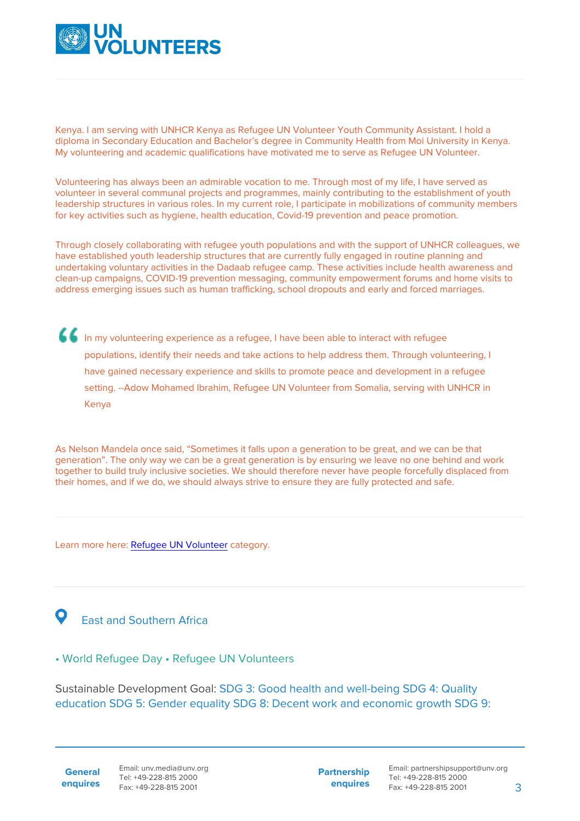

Kenya. I am serving with UNHCR Kenya as Refugee UN Volunteer Youth Community Assistant. I hold a diploma in Secondary Education and Bachelor's degree in Community Health from Moi University in Kenya. My volunteering and academic qualifications have motivated me to serve as Refugee UN Volunteer.

Volunteering has always been an admirable vocation to me. Through most of my life, I have served as volunteer in several communal projects and programmes, mainly contributing to the establishment of youth leadership structures in various roles. In my current role, I participate in mobilizations of community members for key activities such as hygiene, health education, Covid-19 prevention and peace promotion.

Through closely collaborating with refugee youth populations and with the support of UNHCR colleagues, we have established youth leadership structures that are currently fully engaged in routine planning and undertaking voluntary activities in the Dadaab refugee camp. These activities include health awareness and clean-up campaigns, COVID-19 prevention messaging, community empowerment forums and home visits to address emerging issues such as human trafficking, school dropouts and early and forced marriages.

In my volunteering experience as a refugee, I have been able to interact with refugee populations, identify their needs and take actions to help address them. Through volunteering, I have gained necessary experience and skills to promote peace and development in a refugee setting. --Adow Mohamed Ibrahim, Refugee UN Volunteer from Somalia, serving with UNHCR in Kenya

As Nelson Mandela once said, "Sometimes it falls upon a generation to be great, and we can be that generation". The only way we can be a great generation is by ensuring we leave no one behind and work together to build truly inclusive societies. We should therefore never have people forcefully displaced from their homes, and if we do, we should always strive to ensure they are fully protected and safe.

Learn more here: [Refugee UN Volunteer](https://toolkit.unv.org/sites/default/files/2020-10/Conditions%20of%20Service%20for%20Refugee%20UN%20Volunteer.pdf) category.

## East and Southern Africa

## • World Refugee Day • Refugee UN Volunteers

Sustainable Development Goal: SDG 3: Good health and well-being SDG 4: Quality education SDG 5: Gender equality SDG 8: Decent work and economic growth SDG 9:

**General enquires** **Partnership enquires**